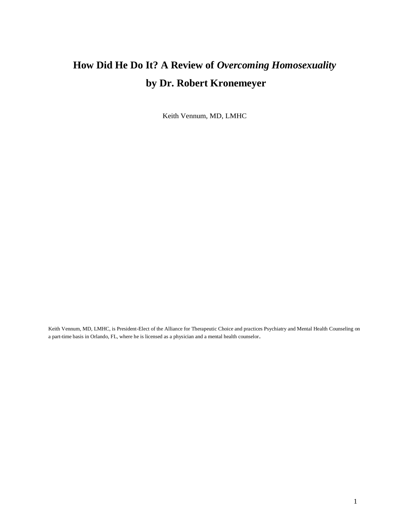## **How Did He Do It? A Review of** *Overcoming Homosexuality* **by Dr. Robert Kronemeyer**

Keith Vennum, MD, LMHC

Keith Vennum, MD, LMHC, is President-Elect of the Alliance for Therapeutic Choice and practices Psychiatry and Mental Health Counseling on a part-time basis in Orlando, FL, where he is licensed as a physician and a mental health counselor.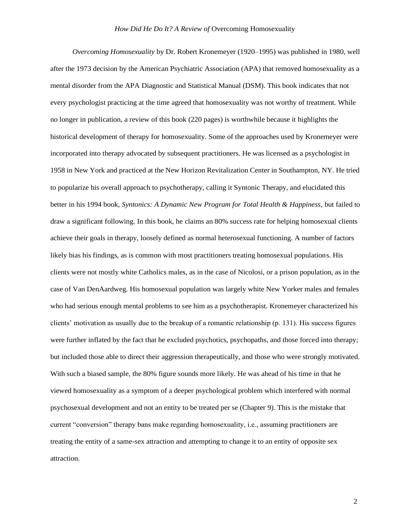*Overcoming Homosexuality* by Dr. Robert Kronemeyer (1920–1995) was published in 1980, well after the 1973 decision by the American Psychiatric Association (APA) that removed homosexuality as a mental disorder from the APA Diagnostic and Statistical Manual (DSM). This book indicates that not every psychologist practicing at the time agreed that homosexuality was not worthy of treatment. While no longer in publication, a review of this book (220 pages) is worthwhile because it highlights the historical development of therapy for homosexuality. Some of the approaches used by Kronemeyer were incorporated into therapy advocated by subsequent practitioners. He was licensed as a psychologist in 1958 in New York and practiced at the New Horizon Revitalization Center in Southampton, NY. He tried to popularize his overall approach to psychotherapy, calling it Syntonic Therapy, and elucidated this better in his 1994 book, *Syntonics: A Dynamic New Program for Total Health & Happiness*, but failed to draw a significant following. In this book, he claims an 80% success rate for helping homosexual clients achieve their goals in therapy, loosely defined as normal heterosexual functioning. A number of factors likely bias his findings, as is common with most practitioners treating homosexual populations. His clients were not mostly white Catholics males, as in the case of Nicolosi, or a prison population, as in the case of Van DenAardweg. His homosexual population was largely white New Yorker males and females who had serious enough mental problems to see him as a psychotherapist. Kronemeyer characterized his clients' motivation as usually due to the breakup of a romantic relationship (p. 131). His success figures were further inflated by the fact that he excluded psychotics, psychopaths, and those forced into therapy; but included those able to direct their aggression therapeutically, and those who were strongly motivated. With such a biased sample, the 80% figure sounds more likely. He was ahead of his time in that he viewed homosexuality as a symptom of a deeper psychological problem which interfered with normal psychosexual development and not an entity to be treated per se (Chapter 9). This is the mistake that current "conversion" therapy bans make regarding homosexuality, i.e., assuming practitioners are treating the entity of a same-sex attraction and attempting to change it to an entity of opposite sex attraction.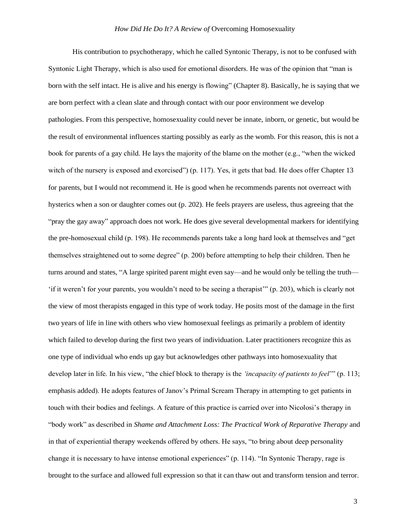His contribution to psychotherapy, which he called Syntonic Therapy, is not to be confused with Syntonic Light Therapy, which is also used for emotional disorders. He was of the opinion that "man is born with the self intact. He is alive and his energy is flowing" (Chapter 8). Basically, he is saying that we are born perfect with a clean slate and through contact with our poor environment we develop pathologies. From this perspective, homosexuality could never be innate, inborn, or genetic, but would be the result of environmental influences starting possibly as early as the womb. For this reason, this is not a book for parents of a gay child. He lays the majority of the blame on the mother (e.g., "when the wicked witch of the nursery is exposed and exorcised") (p. 117). Yes, it gets that bad. He does offer Chapter 13 for parents, but I would not recommend it. He is good when he recommends parents not overreact with hysterics when a son or daughter comes out (p. 202). He feels prayers are useless, thus agreeing that the "pray the gay away" approach does not work. He does give several developmental markers for identifying the pre-homosexual child (p. 198). He recommends parents take a long hard look at themselves and "get themselves straightened out to some degree" (p. 200) before attempting to help their children. Then he turns around and states, "A large spirited parent might even say—and he would only be telling the truth— 'if it weren't for your parents, you wouldn't need to be seeing a therapist'" (p. 203), which is clearly not the view of most therapists engaged in this type of work today. He posits most of the damage in the first two years of life in line with others who view homosexual feelings as primarily a problem of identity which failed to develop during the first two years of individuation. Later practitioners recognize this as one type of individual who ends up gay but acknowledges other pathways into homosexuality that develop later in life. In his view, "the chief block to therapy is the *'incapacity of patients to feel*'" (p. 113; emphasis added). He adopts features of Janov's Primal Scream Therapy in attempting to get patients in touch with their bodies and feelings. A feature of this practice is carried over into Nicolosi's therapy in "body work" as described in *Shame and Attachment Loss: The Practical Work of Reparative Therapy* and in that of experiential therapy weekends offered by others. He says, "to bring about deep personality change it is necessary to have intense emotional experiences" (p. 114). "In Syntonic Therapy, rage is brought to the surface and allowed full expression so that it can thaw out and transform tension and terror.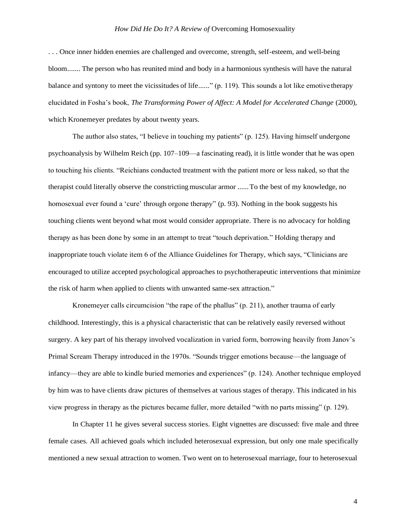## *How Did He Do It? A Review of* Overcoming Homosexuality

. . . Once inner hidden enemies are challenged and overcome, strength, self-esteem, and well-being bloom....... The person who has reunited mind and body in a harmonious synthesis will have the natural balance and syntony to meet the vicissitudes of life......" (p. 119). This sounds a lot like emotive therapy elucidated in Fosha's book, *The Transforming Power of Affect: A Model for Accelerated Change* (2000), which Kronemeyer predates by about twenty years.

The author also states, "I believe in touching my patients" (p. 125). Having himself undergone psychoanalysis by Wilhelm Reich (pp. 107–109—a fascinating read), it is little wonder that he was open to touching his clients. "Reichians conducted treatment with the patient more or less naked, so that the therapist could literally observe the constricting muscular armor ...... To the best of my knowledge, no homosexual ever found a 'cure' through orgone therapy" (p. 93). Nothing in the book suggests his touching clients went beyond what most would consider appropriate. There is no advocacy for holding therapy as has been done by some in an attempt to treat "touch deprivation." Holding therapy and inappropriate touch violate item 6 of the Alliance Guidelines for Therapy, which says, "Clinicians are encouraged to utilize accepted psychological approaches to psychotherapeutic interventions that minimize the risk of harm when applied to clients with unwanted same-sex attraction."

Kronemeyer calls circumcision "the rape of the phallus" (p. 211), another trauma of early childhood. Interestingly, this is a physical characteristic that can be relatively easily reversed without surgery. A key part of his therapy involved vocalization in varied form, borrowing heavily from Janov's Primal Scream Therapy introduced in the 1970s. "Sounds trigger emotions because—the language of infancy—they are able to kindle buried memories and experiences" (p. 124). Another technique employed by him was to have clients draw pictures of themselves at various stages of therapy. This indicated in his view progress in therapy as the pictures became fuller, more detailed "with no parts missing" (p. 129).

In Chapter 11 he gives several success stories. Eight vignettes are discussed: five male and three female cases. All achieved goals which included heterosexual expression, but only one male specifically mentioned a new sexual attraction to women. Two went on to heterosexual marriage, four to heterosexual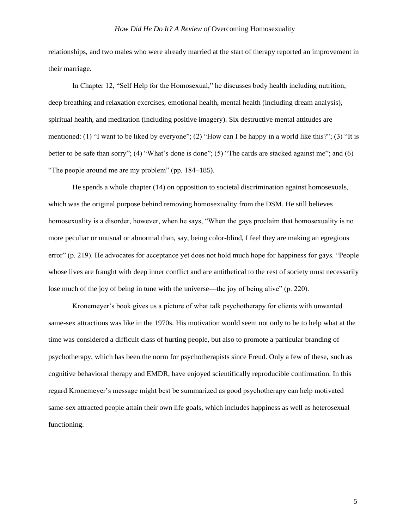relationships, and two males who were already married at the start of therapy reported an improvement in their marriage.

In Chapter 12, "Self Help for the Homosexual," he discusses body health including nutrition, deep breathing and relaxation exercises, emotional health, mental health (including dream analysis), spiritual health, and meditation (including positive imagery). Six destructive mental attitudes are mentioned: (1) "I want to be liked by everyone"; (2) "How can I be happy in a world like this?"; (3) "It is better to be safe than sorry"; (4) "What's done is done"; (5) "The cards are stacked against me"; and (6) "The people around me are my problem" (pp. 184–185).

He spends a whole chapter (14) on opposition to societal discrimination against homosexuals, which was the original purpose behind removing homosexuality from the DSM. He still believes homosexuality is a disorder, however, when he says, "When the gays proclaim that homosexuality is no more peculiar or unusual or abnormal than, say, being color-blind, I feel they are making an egregious error" (p. 219). He advocates for acceptance yet does not hold much hope for happiness for gays. "People whose lives are fraught with deep inner conflict and are antithetical to the rest of society must necessarily lose much of the joy of being in tune with the universe—the joy of being alive" (p. 220).

Kronemeyer's book gives us a picture of what talk psychotherapy for clients with unwanted same-sex attractions was like in the 1970s. His motivation would seem not only to be to help what at the time was considered a difficult class of hurting people, but also to promote a particular branding of psychotherapy, which has been the norm for psychotherapists since Freud. Only a few of these, such as cognitive behavioral therapy and EMDR, have enjoyed scientifically reproducible confirmation. In this regard Kronemeyer's message might best be summarized as good psychotherapy can help motivated same-sex attracted people attain their own life goals, which includes happiness as well as heterosexual functioning.